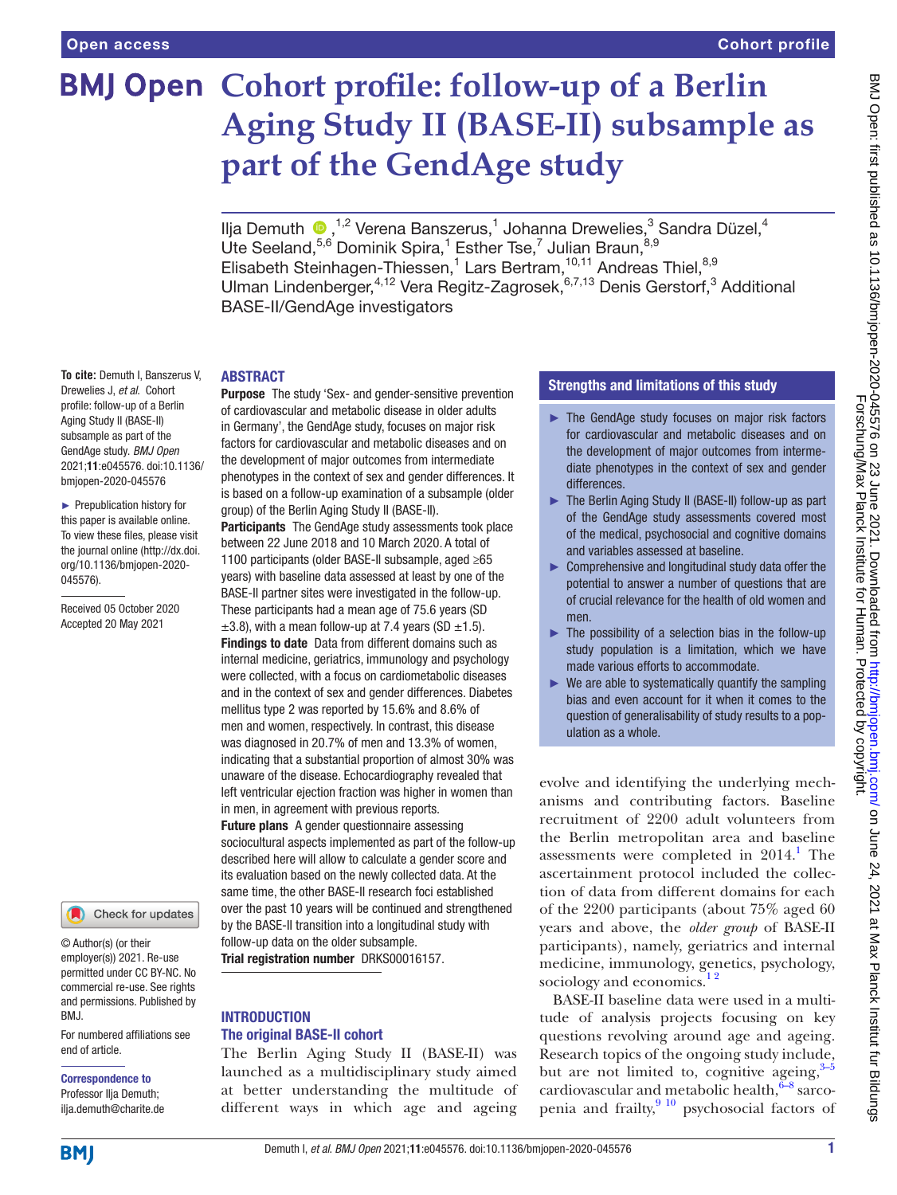**To cite:** Demuth I, Banszerus V,

Aging Study II (BASE-II)

bmjopen-2020-045576

045576).

this paper is available online. To view these files, please visit the journal online (http://dx.doi. org/10.1136/bmjopen-2020-

Received 05 October 2020 Accepted 20 May 2021

# **BMJ Open Cohort profile: follow-up of a Berlin Aging Study II (BASE-II) subsample as part of the GendAge study**

IljaDemuth  $\bullet$ ,<sup>1,2</sup> Verena Banszerus,<sup>1</sup> Johanna Drewelies,<sup>3</sup> Sandra Düzel,<sup>4</sup> Ute Seeland,<sup>5,6</sup> Dominik Spira,<sup>1</sup> Esther Tse,<sup>7</sup> Julian Braun,<sup>8,9</sup> Elisabeth Steinhagen-Thiessen,<sup>1</sup> Lars Bertram,<sup>10,11</sup> Andreas Thiel,<sup>8,9</sup> Ulman Lindenberger,<sup>4,12</sup> Vera Regitz-Zagrosek, 6,7,13 Denis Gerstorf, <sup>3</sup> Additional BASE-II/GendAge investigators

# **ABSTRACT**

Drewelies J, *et al*. Cohort profile: follow-up of a Berlin subsample as part of the GendAge study. *BMJ Open* 2021;11:e045576. doi:10.1136/ ► Prepublication history for Purpose The study 'Sex- and gender-sensitive prevention of cardiovascular and metabolic disease in older adults in Germany', the GendAge study, focuses on major risk factors for cardiovascular and metabolic diseases and on the development of major outcomes from intermediate phenotypes in the context of sex and gender differences. It is based on a follow-up examination of a subsample (older group) of the Berlin Aging Study II (BASE-II).

Participants The GendAge study assessments took place between 22 June 2018 and 10 March 2020. A total of 1100 participants (older BASE-II subsample, aged ≥65 years) with baseline data assessed at least by one of the BASE-II partner sites were investigated in the follow-up. These participants had a mean age of 75.6 years (SD  $\pm$ 3.8), with a mean follow-up at 7.4 years (SD  $\pm$ 1.5).

Findings to date Data from different domains such as internal medicine, geriatrics, immunology and psychology were collected, with a focus on cardiometabolic diseases and in the context of sex and gender differences. Diabetes mellitus type 2 was reported by 15.6% and 8.6% of men and women, respectively. In contrast, this disease was diagnosed in 20.7% of men and 13.3% of women, indicating that a substantial proportion of almost 30% was unaware of the disease. Echocardiography revealed that left ventricular ejection fraction was higher in women than in men, in agreement with previous reports.

Future plans A gender questionnaire assessing sociocultural aspects implemented as part of the follow-up described here will allow to calculate a gender score and its evaluation based on the newly collected data. At the same time, the other BASE-II research foci established over the past 10 years will be continued and strengthened by the BASE-II transition into a longitudinal study with follow-up data on the older subsample. Trial registration number DRKS00016157.

# **INTRODUCTION** The original BASE-II cohort

The Berlin Aging Study II (BASE-II) was launched as a multidisciplinary study aimed at better understanding the multitude of different ways in which age and ageing

# Strengths and limitations of this study

- ► The GendAge study focuses on major risk factors for cardiovascular and metabolic diseases and on the development of major outcomes from intermediate phenotypes in the context of sex and gender differences.
- ► The Berlin Aging Study II (BASE-II) follow-up as part of the GendAge study assessments covered most of the medical, psychosocial and cognitive domains and variables assessed at baseline.
- ► Comprehensive and longitudinal study data offer the potential to answer a number of questions that are of crucial relevance for the health of old women and men.
- $\blacktriangleright$  The possibility of a selection bias in the follow-up study population is a limitation, which we have made various efforts to accommodate.
- $\blacktriangleright$  We are able to systematically quantify the sampling bias and even account for it when it comes to the question of generalisability of study results to a population as a whole.

evolve and identifying the underlying mechanisms and contributing factors. Baseline recruitment of 2200 adult volunteers from the Berlin metropolitan area and baseline assessments were completed in 20[1](#page-7-0)4.<sup>1</sup> The ascertainment protocol included the collection of data from different domains for each of the 2200 participants (about 75% aged 60 years and above, the *older group* of BASE-II participants), namely, geriatrics and internal medicine, immunology, genetics, psychology, sociology and economics.<sup>12</sup>

BASE-II baseline data were used in a multitude of analysis projects focusing on key questions revolving around age and ageing. Research topics of the ongoing study include, but are not limited to, cognitive ageing,  $3-5$ cardiovascular and metabolic health, $6-8$  sarcopenia and frailty, $910$  psychosocial factors of

© Author(s) (or their

employer(s)) 2021. Re-use permitted under CC BY-NC. No commercial re-use. See rights and permissions. Published by BMJ.

Check for updates

For numbered affiliations see end of article.

#### Correspondence to Professor Ilja Demuth; ilja.demuth@charite.de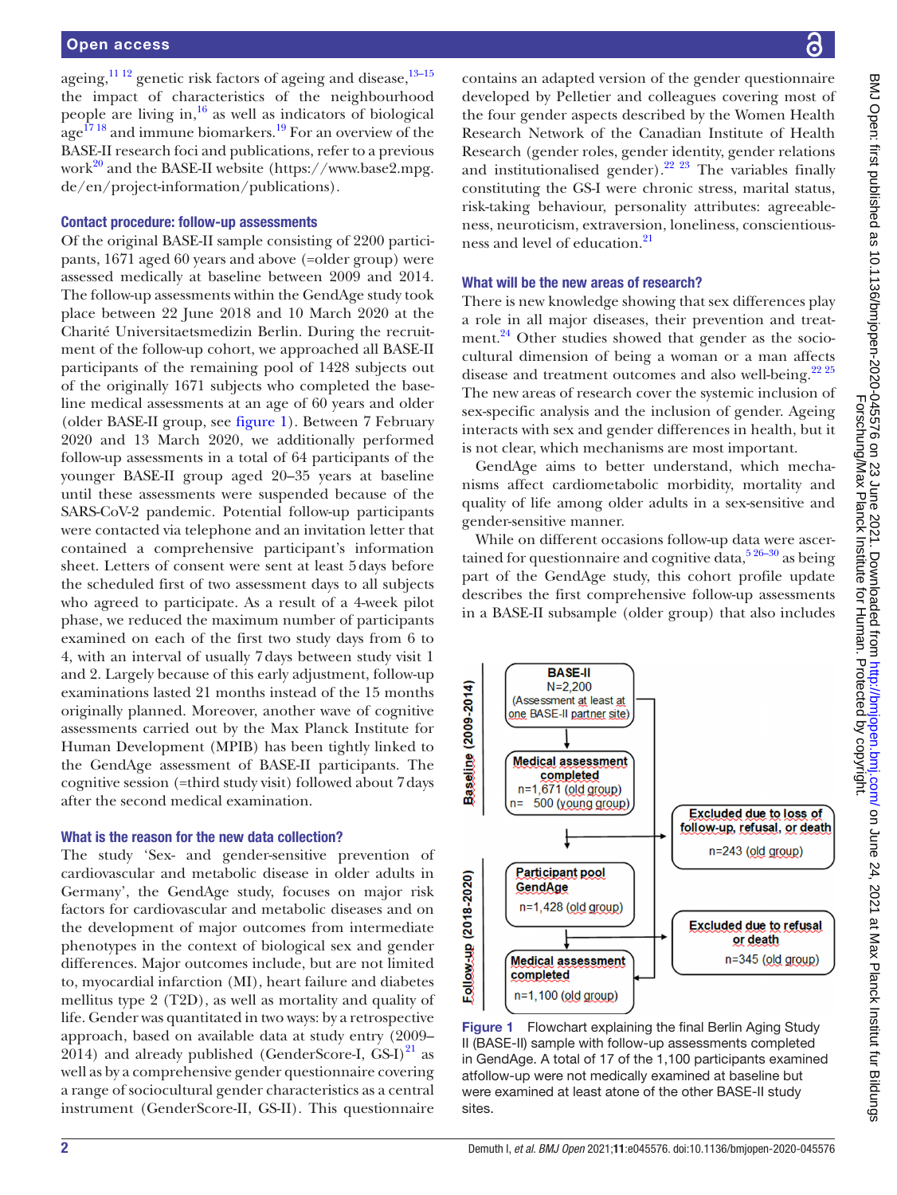ageing,  $\frac{11 \cdot 12}{2}$  genetic risk factors of ageing and disease,  $\frac{13-15}{2}$ the impact of characteristics of the neighbourhood people are living in, $^{16}$  as well as indicators of biological  $\mathrm{age}^{\mathsf{17}\,18}$  and immune biomarkers. $^{19}\,$  For an overview of the BASE-II research foci and publications, refer to a previous work $^{20}$  and the BASE-II website [\(https://www.base2.mpg.](https://www.base2.mpg.de/en/project-information/publications) [de/en/project-information/publications\)](https://www.base2.mpg.de/en/project-information/publications).

## Contact procedure: follow-up assessments

Of the original BASE-II sample consisting of 2200 participants, 1671 aged 60 years and above (=older group) were assessed medically at baseline between 2009 and 2014. The follow-up assessments within the GendAge study took place between 22 June 2018 and 10 March 2020 at the Charité Universitaetsmedizin Berlin. During the recruitment of the follow-up cohort, we approached all BASE-II participants of the remaining pool of 1428 subjects out of the originally 1671 subjects who completed the baseline medical assessments at an age of 60 years and older (older BASE-II group, see [figure](#page-1-0) 1). Between 7 February 2020 and 13 March 2020, we additionally performed follow-up assessments in a total of 64 participants of the younger BASE-II group aged 20–35 years at baseline until these assessments were suspended because of the SARS-CoV-2 pandemic. Potential follow-up participants were contacted via telephone and an invitation letter that contained a comprehensive participant's information sheet. Letters of consent were sent at least 5days before the scheduled first of two assessment days to all subjects who agreed to participate. As a result of a 4-week pilot phase, we reduced the maximum number of participants examined on each of the first two study days from 6 to 4, with an interval of usually 7days between study visit 1 and 2. Largely because of this early adjustment, follow-up examinations lasted 21 months instead of the 15 months originally planned. Moreover, another wave of cognitive assessments carried out by the Max Planck Institute for Human Development (MPIB) has been tightly linked to the GendAge assessment of BASE-II participants. The cognitive session (=third study visit) followed about 7days after the second medical examination.

#### What is the reason for the new data collection?

The study 'Sex- and gender-sensitive prevention of cardiovascular and metabolic disease in older adults in Germany', the GendAge study, focuses on major risk factors for cardiovascular and metabolic diseases and on the development of major outcomes from intermediate phenotypes in the context of biological sex and gender differences. Major outcomes include, but are not limited to, myocardial infarction (MI), heart failure and diabetes mellitus type 2 (T2D), as well as mortality and quality of life. Gender was quantitated in two ways: by a retrospective approach, based on available data at study entry (2009– 2014) and already published (GenderScore-I, GS-I) $^{21}$  $^{21}$  $^{21}$  as well as by a comprehensive gender questionnaire covering a range of sociocultural gender characteristics as a central instrument (GenderScore-II, GS-II). This questionnaire

contains an adapted version of the gender questionnaire developed by Pelletier and colleagues covering most of the four gender aspects described by the Women Health Research Network of the Canadian Institute of Health Research (gender roles, gender identity, gender relations and institutionalised gender).<sup>22 23</sup> The variables finally constituting the GS-I were chronic stress, marital status, risk-taking behaviour, personality attributes: agreeableness, neuroticism, extraversion, loneliness, conscientious-ness and level of education.<sup>[21](#page-7-10)</sup>

## What will be the new areas of research?

There is new knowledge showing that sex differences play a role in all major diseases, their prevention and treatment.<sup>24</sup> Other studies showed that gender as the sociocultural dimension of being a woman or a man affects disease and treatment outcomes and also well-being.<sup>[22 25](#page-7-11)</sup> The new areas of research cover the systemic inclusion of sex-specific analysis and the inclusion of gender. Ageing interacts with sex and gender differences in health, but it is not clear, which mechanisms are most important.

GendAge aims to better understand, which mechanisms affect cardiometabolic morbidity, mortality and quality of life among older adults in a sex-sensitive and gender-sensitive manner.

While on different occasions follow-up data were ascertained for questionnaire and cognitive data,  $526-30$  as being part of the GendAge study, this cohort profile update describes the first comprehensive follow-up assessments in a BASE-II subsample (older group) that also includes



<span id="page-1-0"></span>Figure 1 Flowchart explaining the final Berlin Aging Study II (BASE-II) sample with follow-up assessments completed in GendAge. A total of 17 of the 1,100 participants examined atfollow-up were not medically examined at baseline but were examined at least atone of the other BASE-II study sites.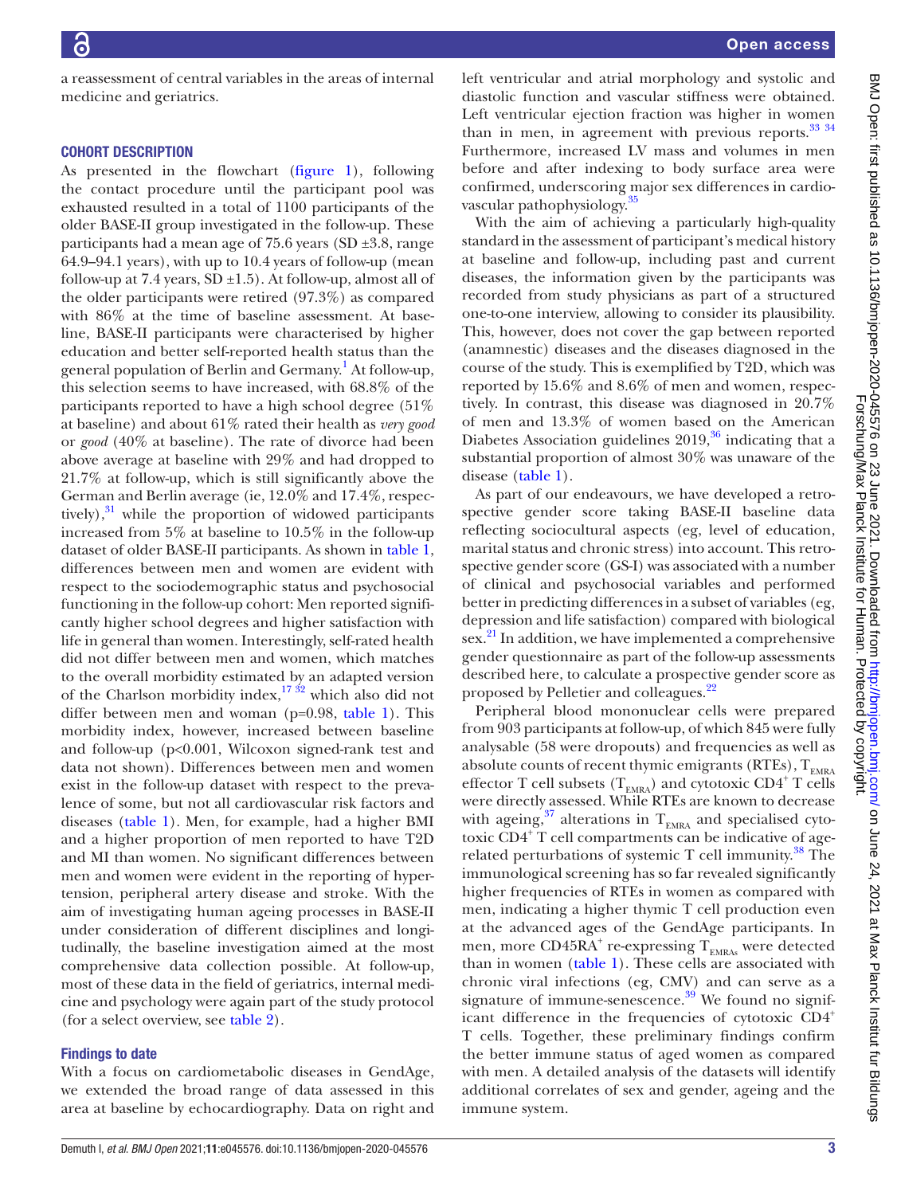a reassessment of central variables in the areas of internal medicine and geriatrics.

# COHORT DESCRIPTION

As presented in the flowchart [\(figure](#page-1-0) 1), following the contact procedure until the participant pool was exhausted resulted in a total of 1100 participants of the older BASE-II group investigated in the follow-up. These participants had a mean age of 75.6 years (SD ±3.8, range 64.9–94.1 years), with up to 10.4 years of follow-up (mean follow-up at 7.4 years,  $SD \pm 1.5$ ). At follow-up, almost all of the older participants were retired (97.3%) as compared with 86% at the time of baseline assessment. At baseline, BASE-II participants were characterised by higher education and better self-reported health status than the general population of Berlin and Germany. [1](#page-7-0) At follow-up, this selection seems to have increased, with 68.8% of the participants reported to have a high school degree (51% at baseline) and about 61% rated their health as *very good* or *good* (40% at baseline). The rate of divorce had been above average at baseline with 29% and had dropped to 21.7% at follow-up, which is still significantly above the German and Berlin average (ie, 12.0% and 17.4%, respectively), $31$  while the proportion of widowed participants increased from 5% at baseline to 10.5% in the follow-up dataset of older BASE-II participants. As shown in [table](#page-3-0) 1, differences between men and women are evident with respect to the sociodemographic status and psychosocial functioning in the follow-up cohort: Men reported significantly higher school degrees and higher satisfaction with life in general than women. Interestingly, self-rated health did not differ between men and women, which matches to the overall morbidity estimated by an adapted version of the Charlson morbidity index,  $17 \frac{32}{2}$  which also did not differ between men and woman (p=0.98, [table](#page-3-0) 1). This morbidity index, however, increased between baseline and follow-up (p<0.001, Wilcoxon signed-rank test and data not shown). Differences between men and women exist in the follow-up dataset with respect to the prevalence of some, but not all cardiovascular risk factors and diseases ([table](#page-3-0) 1). Men, for example, had a higher BMI and a higher proportion of men reported to have T2D and MI than women. No significant differences between men and women were evident in the reporting of hypertension, peripheral artery disease and stroke. With the aim of investigating human ageing processes in BASE-II under consideration of different disciplines and longitudinally, the baseline investigation aimed at the most comprehensive data collection possible. At follow-up, most of these data in the field of geriatrics, internal medicine and psychology were again part of the study protocol (for a select overview, see [table](#page-5-0) 2).

## Findings to date

With a focus on cardiometabolic diseases in GendAge, we extended the broad range of data assessed in this area at baseline by echocardiography. Data on right and

left ventricular and atrial morphology and systolic and diastolic function and vascular stiffness were obtained. Left ventricular ejection fraction was higher in women than in men, in agreement with previous reports.<sup>[33 34](#page-7-15)</sup> Furthermore, increased LV mass and volumes in men before and after indexing to body surface area were confirmed, underscoring major sex differences in cardiovascular pathophysiology.[35](#page-7-16)

With the aim of achieving a particularly high-quality standard in the assessment of participant's medical history at baseline and follow-up, including past and current diseases, the information given by the participants was recorded from study physicians as part of a structured one-to-one interview, allowing to consider its plausibility. This, however, does not cover the gap between reported (anamnestic) diseases and the diseases diagnosed in the course of the study. This is exemplified by T2D, which was reported by 15.6% and 8.6% of men and women, respectively. In contrast, this disease was diagnosed in 20.7% of men and 13.3% of women based on the American Diabetes Association guidelines  $2019<sup>36</sup>$  indicating that a substantial proportion of almost 30% was unaware of the disease [\(table](#page-3-0) 1).

As part of our endeavours, we have developed a retrospective gender score taking BASE-II baseline data reflecting sociocultural aspects (eg, level of education, marital status and chronic stress) into account. This retrospective gender score (GS-I) was associated with a number of clinical and psychosocial variables and performed better in predicting differences in a subset of variables (eg, depression and life satisfaction) compared with biological sex.<sup>21</sup> In addition, we have implemented a comprehensive gender questionnaire as part of the follow-up assessments described here, to calculate a prospective gender score as proposed by Pelletier and colleagues.<sup>22</sup>

Peripheral blood mononuclear cells were prepared from 903 participants at follow-up, of which 845 were fully analysable (58 were dropouts) and frequencies as well as absolute counts of recent thymic emigrants (RTEs),  $T_{\text{EMRA}}$ effector T cell subsets ( $T_{EMRA}$ ) and cytotoxic CD4<sup>+</sup> T cells were directly assessed. While RTEs are known to decrease with ageing, $37$  alterations in T<sub>EMRA</sub> and specialised cytotoxic CD4<sup>+</sup> T cell compartments can be indicative of agerelated perturbations of systemic T cell immunity. [38](#page-7-19) The immunological screening has so far revealed significantly higher frequencies of RTEs in women as compared with men, indicating a higher thymic T cell production even at the advanced ages of the GendAge participants. In men, more CD45RA<sup>+</sup> re-expressing  $T_{_{EMRAS}}$  were detected than in women ([table](#page-3-0) 1). These cells are associated with chronic viral infections (eg, CMV) and can serve as a signature of immune-senescence.<sup>[39](#page-7-20)</sup> We found no significant difference in the frequencies of cytotoxic CD4<sup>+</sup> T cells. Together, these preliminary findings confirm the better immune status of aged women as compared with men. A detailed analysis of the datasets will identify additional correlates of sex and gender, ageing and the immune system.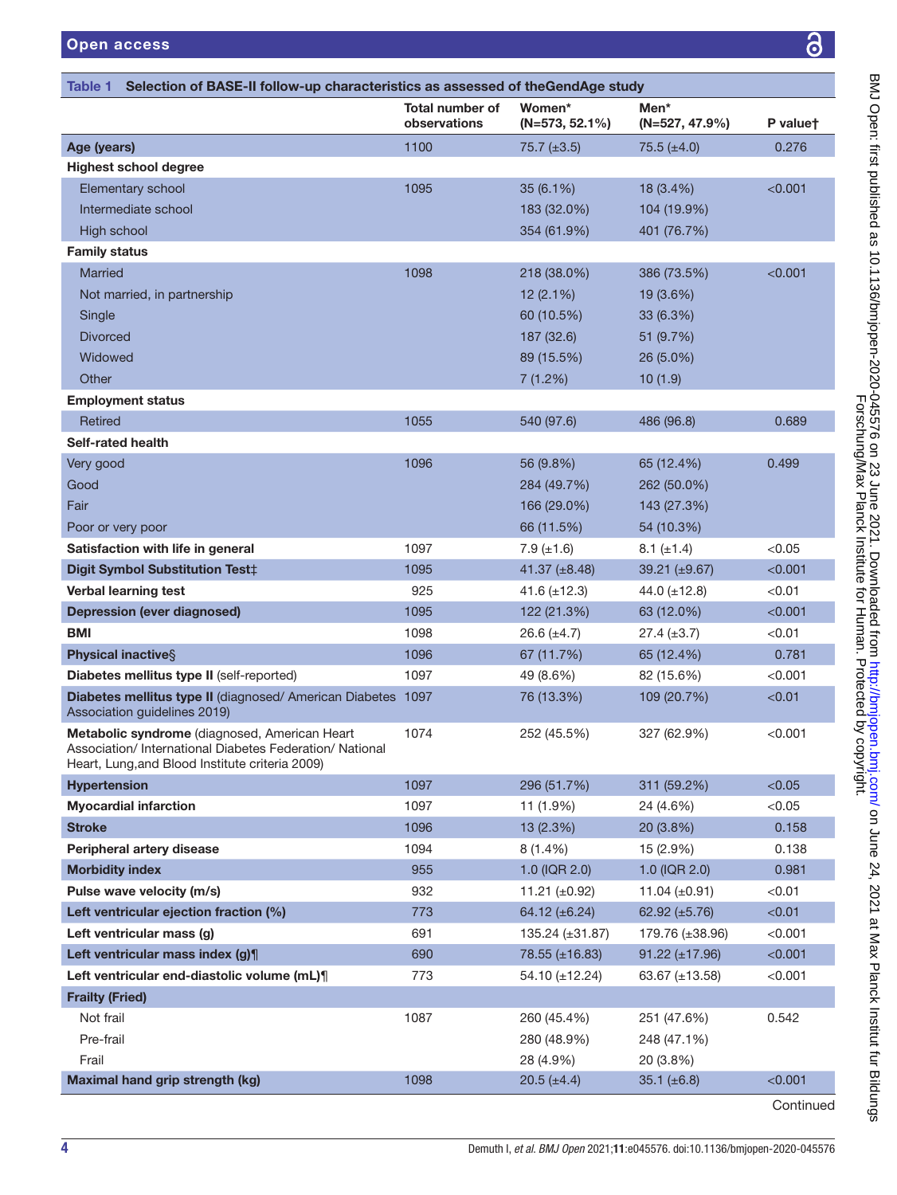| <b>Age study</b> |                           |          |
|------------------|---------------------------|----------|
| $.1\%$           | Men*<br>$(N=527, 47.9\%)$ | P valuet |
|                  | 75.5 $(\pm 4.0)$          | 0.276    |
|                  |                           |          |
|                  | 18 (3.4%)                 | < 0.001  |
| ))               | 104 (19.9%)               |          |
| (ر               | 401 (76.7%)               |          |
|                  |                           |          |
|                  |                           |          |

| , Sirio II - II - II - II - Sirio - II - Sirio - II - Sirio - II - Sirio - II - Sirio - II - Sirio - II - Siri |
|----------------------------------------------------------------------------------------------------------------|
|                                                                                                                |

<span id="page-3-0"></span>

| Selection of BASE-II follow-up characteristics as assessed of the GendAge study<br>Table 1                                                                   |                                 |                             |                          |          |
|--------------------------------------------------------------------------------------------------------------------------------------------------------------|---------------------------------|-----------------------------|--------------------------|----------|
|                                                                                                                                                              | Total number of<br>observations | Women*<br>$(N=573, 52.1\%)$ | Men*<br>$(N=527, 47.9%)$ | P valuet |
| Age (years)                                                                                                                                                  | 1100                            | 75.7 $(\pm 3.5)$            | $75.5 (\pm 4.0)$         | 0.276    |
| <b>Highest school degree</b>                                                                                                                                 |                                 |                             |                          |          |
| Elementary school                                                                                                                                            | 1095                            | $35(6.1\%)$                 | 18 (3.4%)                | < 0.001  |
| Intermediate school                                                                                                                                          |                                 | 183 (32.0%)                 | 104 (19.9%)              |          |
| High school                                                                                                                                                  |                                 | 354 (61.9%)                 | 401 (76.7%)              |          |
| <b>Family status</b>                                                                                                                                         |                                 |                             |                          |          |
| Married                                                                                                                                                      | 1098                            | 218 (38.0%)                 | 386 (73.5%)              | < 0.001  |
| Not married, in partnership                                                                                                                                  |                                 | 12(2.1%)                    | 19 (3.6%)                |          |
| Single                                                                                                                                                       |                                 | 60 (10.5%)                  | 33 (6.3%)                |          |
| <b>Divorced</b>                                                                                                                                              |                                 | 187 (32.6)                  | 51 (9.7%)                |          |
| Widowed                                                                                                                                                      |                                 | 89 (15.5%)                  | 26 (5.0%)                |          |
| Other                                                                                                                                                        |                                 | 7(1.2%)                     | 10(1.9)                  |          |
| <b>Employment status</b>                                                                                                                                     |                                 |                             |                          |          |
| Retired                                                                                                                                                      | 1055                            | 540 (97.6)                  | 486 (96.8)               | 0.689    |
| Self-rated health                                                                                                                                            |                                 |                             |                          |          |
| Very good                                                                                                                                                    | 1096                            | 56 (9.8%)                   | 65 (12.4%)               | 0.499    |
| Good                                                                                                                                                         |                                 | 284 (49.7%)                 | 262 (50.0%)              |          |
| Fair                                                                                                                                                         |                                 | 166 (29.0%)                 | 143 (27.3%)              |          |
| Poor or very poor                                                                                                                                            |                                 | 66 (11.5%)                  | 54 (10.3%)               |          |
| Satisfaction with life in general                                                                                                                            | 1097                            | $7.9 \ (\pm 1.6)$           | $8.1 (\pm 1.4)$          | < 0.05   |
| Digit Symbol Substitution Test‡                                                                                                                              | 1095                            | 41.37 $(\pm 8.48)$          | 39.21 (±9.67)            | < 0.001  |
| Verbal learning test                                                                                                                                         | 925                             | 41.6 $(\pm 12.3)$           | 44.0 $(\pm 12.8)$        | < 0.01   |
| <b>Depression (ever diagnosed)</b>                                                                                                                           | 1095                            | 122 (21.3%)                 | 63 (12.0%)               | < 0.001  |
| <b>BMI</b>                                                                                                                                                   | 1098                            | $26.6 (\pm 4.7)$            | $27.4 \ (\pm 3.7)$       | $<$ 0.01 |
| <b>Physical inactive</b> §                                                                                                                                   | 1096                            | 67 (11.7%)                  | 65 (12.4%)               | 0.781    |
| Diabetes mellitus type II (self-reported)                                                                                                                    | 1097                            | 49 (8.6%)                   | 82 (15.6%)               | < 0.001  |
| Diabetes mellitus type II (diagnosed/ American Diabetes 1097<br>Association guidelines 2019)                                                                 |                                 | 76 (13.3%)                  | 109 (20.7%)              | < 0.01   |
| Metabolic syndrome (diagnosed, American Heart<br>Association/ International Diabetes Federation/ National<br>Heart, Lung, and Blood Institute criteria 2009) | 1074                            | 252 (45.5%)                 | 327 (62.9%)              | < 0.001  |
| <b>Hypertension</b>                                                                                                                                          | 1097                            | 296 (51.7%)                 | 311 (59.2%)              | < 0.05   |
| <b>Myocardial infarction</b>                                                                                                                                 | 1097                            | 11 (1.9%)                   | 24 (4.6%)                | < 0.05   |
| <b>Stroke</b>                                                                                                                                                | 1096                            | 13 (2.3%)                   | 20 (3.8%)                | 0.158    |
| Peripheral artery disease                                                                                                                                    | 1094                            | $8(1.4\%)$                  | 15 (2.9%)                | 0.138    |
| <b>Morbidity index</b>                                                                                                                                       | 955                             | 1.0 (IQR 2.0)               | 1.0 (IQR 2.0)            | 0.981    |
| Pulse wave velocity (m/s)                                                                                                                                    | 932                             | 11.21 $(\pm 0.92)$          | 11.04 $(\pm 0.91)$       | < 0.01   |
| Left ventricular ejection fraction (%)                                                                                                                       | 773                             | 64.12 $(\pm 6.24)$          | 62.92 $(\pm 5.76)$       | < 0.01   |
| Left ventricular mass (g)                                                                                                                                    | 691                             | $135.24 (\pm 31.87)$        | 179.76 (±38.96)          | < 0.001  |
| Left ventricular mass index (g)                                                                                                                              | 690                             | 78.55 (±16.83)              | $91.22 (\pm 17.96)$      | < 0.001  |
| Left ventricular end-diastolic volume (mL)¶                                                                                                                  | 773                             | $54.10 (\pm 12.24)$         | 63.67 $(\pm 13.58)$      | < 0.001  |
| <b>Frailty (Fried)</b>                                                                                                                                       |                                 |                             |                          |          |
| Not frail                                                                                                                                                    | 1087                            | 260 (45.4%)                 | 251 (47.6%)              | 0.542    |
| Pre-frail                                                                                                                                                    |                                 | 280 (48.9%)                 | 248 (47.1%)              |          |
| Frail                                                                                                                                                        |                                 | 28 (4.9%)                   | 20 (3.8%)                |          |
| Maximal hand grip strength (kg)                                                                                                                              | 1098                            | $20.5 (\pm 4.4)$            | 35.1 $(\pm 6.8)$         | < 0.001  |

Continued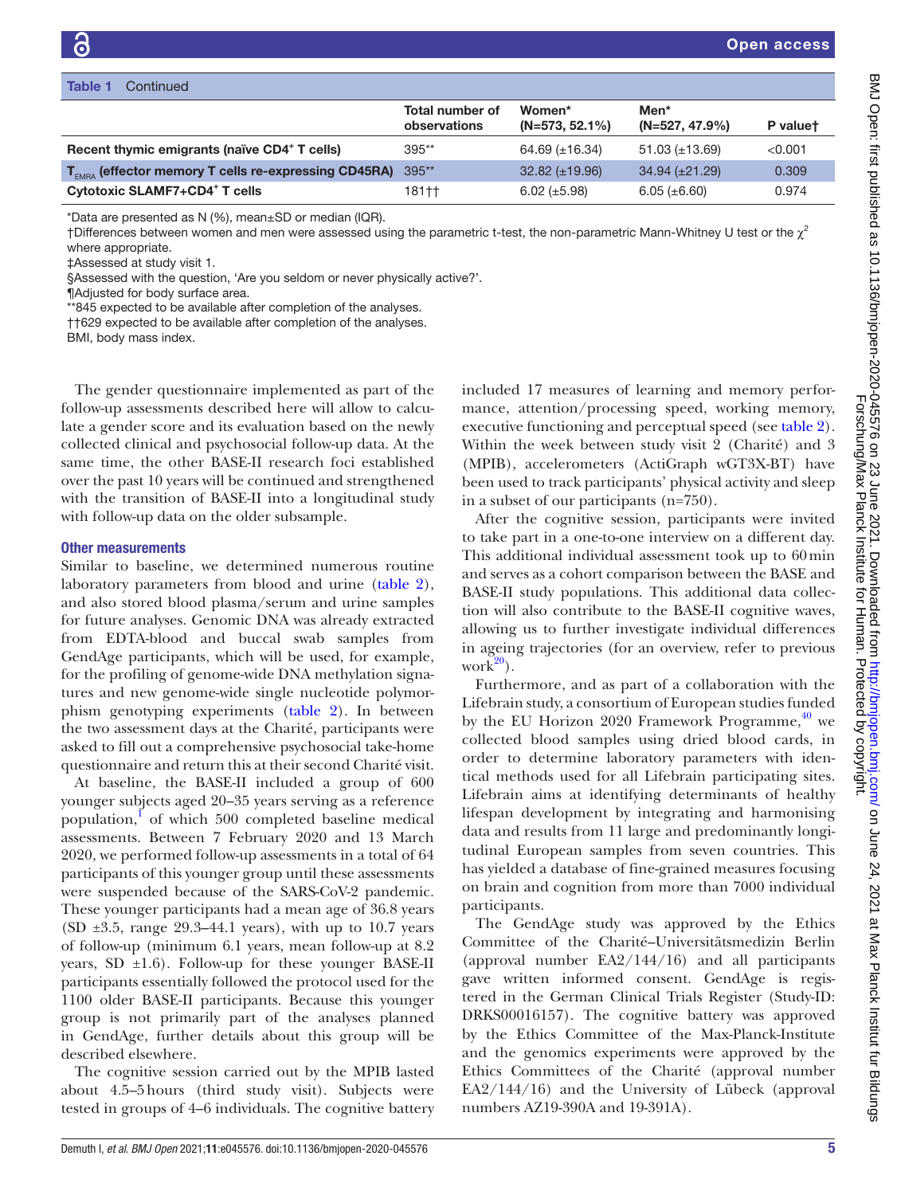| Table 1<br>Continued                                      |                                        |                             |                           |          |
|-----------------------------------------------------------|----------------------------------------|-----------------------------|---------------------------|----------|
|                                                           | <b>Total number of</b><br>observations | Women*<br>$(N=573, 52.1\%)$ | Men*<br>$(N=527, 47.9\%)$ | P valuet |
| Recent thymic emigrants (naïve CD4 <sup>+</sup> T cells)  | $395**$                                | 64.69 $(\pm 16.34)$         | $51.03 (\pm 13.69)$       | < 0.001  |
| $T_{FMRA}$ (effector memory T cells re-expressing CD45RA) | 395**                                  | $32.82 \ (\pm 19.96)$       | $34.94 (\pm 21.29)$       | 0.309    |
| Cytotoxic SLAMF7+CD4 <sup>+</sup> T cells                 | 181††                                  | $6.02 \ (\pm 5.98)$         | $6.05 \ (\pm 6.60)$       | 0.974    |

\*Data are presented as N (%), mean±SD or median (IQR).

†Differences between women and men were assessed using the parametric t-test, the non-parametric Mann-Whitney U test or the  $\chi^2$ where appropriate.

‡Assessed at study visit 1.

§Assessed with the question, 'Are you seldom or never physically active?'.

¶Adjusted for body surface area.

\*\*845 expected to be available after completion of the analyses.

††629 expected to be available after completion of the analyses.

BMI, body mass index.

The gender questionnaire implemented as part of the follow-up assessments described here will allow to calculate a gender score and its evaluation based on the newly collected clinical and psychosocial follow-up data. At the same time, the other BASE-II research foci established over the past 10 years will be continued and strengthened with the transition of BASE-II into a longitudinal study with follow-up data on the older subsample.

#### Other measurements

Similar to baseline, we determined numerous routine laboratory parameters from blood and urine ([table](#page-5-0) 2), and also stored blood plasma/serum and urine samples for future analyses. Genomic DNA was already extracted from EDTA-blood and buccal swab samples from GendAge participants, which will be used, for example, for the profiling of genome-wide DNA methylation signatures and new genome-wide single nucleotide polymorphism genotyping experiments ([table](#page-5-0) 2). In between the two assessment days at the Charité, participants were asked to fill out a comprehensive psychosocial take-home questionnaire and return this at their second Charité visit.

At baseline, the BASE-II included a group of 600 younger subjects aged 20–35 years serving as a reference population, $\overline{1}$  $\overline{1}$  $\overline{1}$  of which 500 completed baseline medical assessments. Between 7 February 2020 and 13 March 2020, we performed follow-up assessments in a total of 64 participants of this younger group until these assessments were suspended because of the SARS-CoV-2 pandemic. These younger participants had a mean age of 36.8 years (SD  $\pm 3.5$ , range 29.3–44.1 years), with up to 10.7 years of follow-up (minimum 6.1 years, mean follow-up at 8.2 years, SD  $\pm 1.6$ ). Follow-up for these younger BASE-II participants essentially followed the protocol used for the 1100 older BASE-II participants. Because this younger group is not primarily part of the analyses planned in GendAge, further details about this group will be described elsewhere.

The cognitive session carried out by the MPIB lasted about 4.5–5hours (third study visit). Subjects were tested in groups of 4–6 individuals. The cognitive battery included 17 measures of learning and memory performance, attention/processing speed, working memory, executive functioning and perceptual speed (see [table](#page-5-0) 2). Within the week between study visit 2 (Charité) and 3 (MPIB), accelerometers (ActiGraph wGT3X-BT) have been used to track participants' physical activity and sleep in a subset of our participants (n=750).

After the cognitive session, participants were invited to take part in a one-to-one interview on a different day. This additional individual assessment took up to 60min and serves as a cohort comparison between the BASE and BASE-II study populations. This additional data collection will also contribute to the BASE-II cognitive waves, allowing us to further investigate individual differences in ageing trajectories (for an overview, refer to previous work $^{20}$ ).

Furthermore, and as part of a collaboration with the Lifebrain study, a consortium of European studies funded by the EU Horizon 2020 Framework Programme,<sup>[40](#page-7-21)</sup> we collected blood samples using dried blood cards, in order to determine laboratory parameters with identical methods used for all Lifebrain participating sites. Lifebrain aims at identifying determinants of healthy lifespan development by integrating and harmonising data and results from 11 large and predominantly longitudinal European samples from seven countries. This has yielded a database of fine-grained measures focusing on brain and cognition from more than 7000 individual participants.

The GendAge study was approved by the Ethics Committee of the Charité–Universitätsmedizin Berlin (approval number EA2/144/16) and all participants gave written informed consent. GendAge is registered in the German Clinical Trials Register (Study-ID: DRKS00016157). The cognitive battery was approved by the Ethics Committee of the Max-Planck-Institute and the genomics experiments were approved by the Ethics Committees of the Charité (approval number EA2/144/16) and the University of Lübeck (approval numbers AZ19-390A and 19-391A).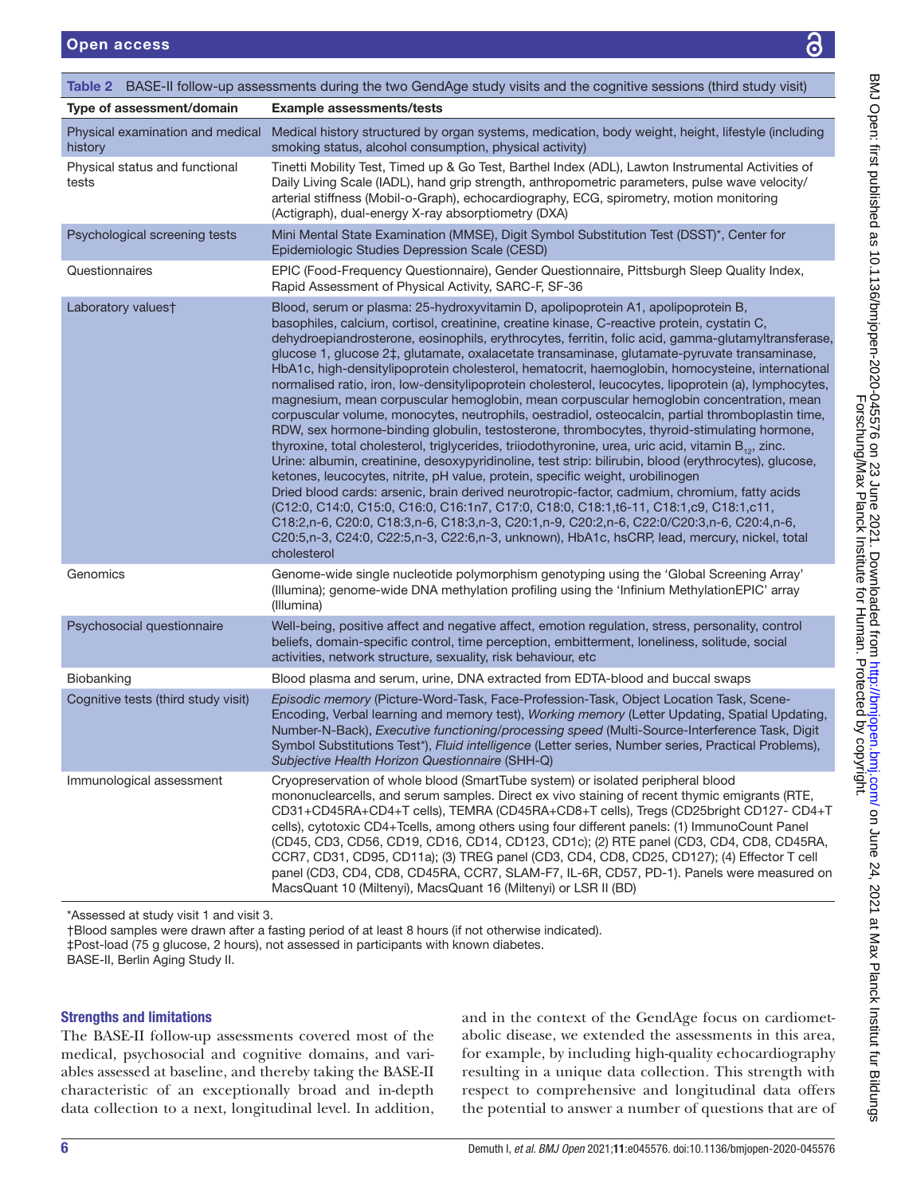<span id="page-5-0"></span>

| Table 2 BASE-II follow-up assessments during the two GendAge study visits and the cognitive sessions (third study visit) |                                                                                                                                                                                                                                                                                                                                                                                                                                                                                                                                                                                                                                                                                                                                                                                                                                                                                                                                                                                                                                                                                                                                                                                                                                                                                                                                                                                                                                                                                                                                                                                                                        |  |  |  |
|--------------------------------------------------------------------------------------------------------------------------|------------------------------------------------------------------------------------------------------------------------------------------------------------------------------------------------------------------------------------------------------------------------------------------------------------------------------------------------------------------------------------------------------------------------------------------------------------------------------------------------------------------------------------------------------------------------------------------------------------------------------------------------------------------------------------------------------------------------------------------------------------------------------------------------------------------------------------------------------------------------------------------------------------------------------------------------------------------------------------------------------------------------------------------------------------------------------------------------------------------------------------------------------------------------------------------------------------------------------------------------------------------------------------------------------------------------------------------------------------------------------------------------------------------------------------------------------------------------------------------------------------------------------------------------------------------------------------------------------------------------|--|--|--|
| Type of assessment/domain                                                                                                | <b>Example assessments/tests</b>                                                                                                                                                                                                                                                                                                                                                                                                                                                                                                                                                                                                                                                                                                                                                                                                                                                                                                                                                                                                                                                                                                                                                                                                                                                                                                                                                                                                                                                                                                                                                                                       |  |  |  |
| Physical examination and medical<br>history                                                                              | Medical history structured by organ systems, medication, body weight, height, lifestyle (including<br>smoking status, alcohol consumption, physical activity)                                                                                                                                                                                                                                                                                                                                                                                                                                                                                                                                                                                                                                                                                                                                                                                                                                                                                                                                                                                                                                                                                                                                                                                                                                                                                                                                                                                                                                                          |  |  |  |
| Physical status and functional<br>tests                                                                                  | Tinetti Mobility Test, Timed up & Go Test, Barthel Index (ADL), Lawton Instrumental Activities of<br>Daily Living Scale (IADL), hand grip strength, anthropometric parameters, pulse wave velocity/<br>arterial stiffness (Mobil-o-Graph), echocardiography, ECG, spirometry, motion monitoring<br>(Actigraph), dual-energy X-ray absorptiometry (DXA)                                                                                                                                                                                                                                                                                                                                                                                                                                                                                                                                                                                                                                                                                                                                                                                                                                                                                                                                                                                                                                                                                                                                                                                                                                                                 |  |  |  |
| Psychological screening tests                                                                                            | Mini Mental State Examination (MMSE), Digit Symbol Substitution Test (DSST)*, Center for<br>Epidemiologic Studies Depression Scale (CESD)                                                                                                                                                                                                                                                                                                                                                                                                                                                                                                                                                                                                                                                                                                                                                                                                                                                                                                                                                                                                                                                                                                                                                                                                                                                                                                                                                                                                                                                                              |  |  |  |
| Questionnaires                                                                                                           | EPIC (Food-Frequency Questionnaire), Gender Questionnaire, Pittsburgh Sleep Quality Index,<br>Rapid Assessment of Physical Activity, SARC-F, SF-36                                                                                                                                                                                                                                                                                                                                                                                                                                                                                                                                                                                                                                                                                                                                                                                                                                                                                                                                                                                                                                                                                                                                                                                                                                                                                                                                                                                                                                                                     |  |  |  |
| Laboratory values†                                                                                                       | Blood, serum or plasma: 25-hydroxyvitamin D, apolipoprotein A1, apolipoprotein B,<br>basophiles, calcium, cortisol, creatinine, creatine kinase, C-reactive protein, cystatin C,<br>dehydroepiandrosterone, eosinophils, erythrocytes, ferritin, folic acid, gamma-glutamyltransferase,<br>glucose 1, glucose 2‡, glutamate, oxalacetate transaminase, glutamate-pyruvate transaminase,<br>HbA1c, high-densitylipoprotein cholesterol, hematocrit, haemoglobin, homocysteine, international<br>normalised ratio, iron, low-densitylipoprotein cholesterol, leucocytes, lipoprotein (a), lymphocytes,<br>magnesium, mean corpuscular hemoglobin, mean corpuscular hemoglobin concentration, mean<br>corpuscular volume, monocytes, neutrophils, oestradiol, osteocalcin, partial thromboplastin time,<br>RDW, sex hormone-binding globulin, testosterone, thrombocytes, thyroid-stimulating hormone,<br>thyroxine, total cholesterol, triglycerides, triiodothyronine, urea, uric acid, vitamin B <sub>12</sub> , zinc.<br>Urine: albumin, creatinine, desoxypyridinoline, test strip: bilirubin, blood (erythrocytes), glucose,<br>ketones, leucocytes, nitrite, pH value, protein, specific weight, urobilinogen<br>Dried blood cards: arsenic, brain derived neurotropic-factor, cadmium, chromium, fatty acids<br>(C12:0, C14:0, C15:0, C16:0, C16:1n7, C17:0, C18:0, C18:1,t6-11, C18:1,c9, C18:1,c11,<br>C18:2,n-6, C20:0, C18:3,n-6, C18:3,n-3, C20:1,n-9, C20:2,n-6, C22:0/C20:3,n-6, C20:4,n-6,<br>C20:5,n-3, C24:0, C22:5,n-3, C22:6,n-3, unknown), HbA1c, hsCRP, lead, mercury, nickel, total<br>cholesterol |  |  |  |
| Genomics                                                                                                                 | Genome-wide single nucleotide polymorphism genotyping using the 'Global Screening Array'<br>(Illumina); genome-wide DNA methylation profiling using the 'Infinium MethylationEPIC' array<br>(Illumina)                                                                                                                                                                                                                                                                                                                                                                                                                                                                                                                                                                                                                                                                                                                                                                                                                                                                                                                                                                                                                                                                                                                                                                                                                                                                                                                                                                                                                 |  |  |  |
| Psychosocial questionnaire                                                                                               | Well-being, positive affect and negative affect, emotion regulation, stress, personality, control<br>beliefs, domain-specific control, time perception, embitterment, loneliness, solitude, social<br>activities, network structure, sexuality, risk behaviour, etc                                                                                                                                                                                                                                                                                                                                                                                                                                                                                                                                                                                                                                                                                                                                                                                                                                                                                                                                                                                                                                                                                                                                                                                                                                                                                                                                                    |  |  |  |
| Biobanking                                                                                                               | Blood plasma and serum, urine, DNA extracted from EDTA-blood and buccal swaps                                                                                                                                                                                                                                                                                                                                                                                                                                                                                                                                                                                                                                                                                                                                                                                                                                                                                                                                                                                                                                                                                                                                                                                                                                                                                                                                                                                                                                                                                                                                          |  |  |  |
| Cognitive tests (third study visit)                                                                                      | Episodic memory (Picture-Word-Task, Face-Profession-Task, Object Location Task, Scene-<br>Encoding, Verbal learning and memory test), Working memory (Letter Updating, Spatial Updating,<br>Number-N-Back), Executive functioning/processing speed (Multi-Source-Interference Task, Digit<br>Symbol Substitutions Test*), Fluid intelligence (Letter series, Number series, Practical Problems),<br>Subjective Health Horizon Questionnaire (SHH-Q)                                                                                                                                                                                                                                                                                                                                                                                                                                                                                                                                                                                                                                                                                                                                                                                                                                                                                                                                                                                                                                                                                                                                                                    |  |  |  |
| Immunological assessment<br>*Assessed at study visit 1 and visit 3                                                       | Cryopreservation of whole blood (SmartTube system) or isolated peripheral blood<br>mononuclearcells, and serum samples. Direct ex vivo staining of recent thymic emigrants (RTE,<br>CD31+CD45RA+CD4+T cells), TEMRA (CD45RA+CD8+T cells), Tregs (CD25bright CD127-CD4+T<br>cells), cytotoxic CD4+Tcells, among others using four different panels: (1) ImmunoCount Panel<br>(CD45, CD3, CD56, CD19, CD16, CD14, CD123, CD1c); (2) RTE panel (CD3, CD4, CD8, CD45RA,<br>CCR7, CD31, CD95, CD11a); (3) TREG panel (CD3, CD4, CD8, CD25, CD127); (4) Effector T cell<br>panel (CD3, CD4, CD8, CD45RA, CCR7, SLAM-F7, IL-6R, CD57, PD-1). Panels were measured on<br>MacsQuant 10 (Miltenyi), MacsQuant 16 (Miltenyi) or LSR II (BD)                                                                                                                                                                                                                                                                                                                                                                                                                                                                                                                                                                                                                                                                                                                                                                                                                                                                                       |  |  |  |

visit 1 and visit 3

†Blood samples were drawn after a fasting period of at least 8 hours (if not otherwise indicated).

‡Post-load (75 g glucose, 2 hours), not assessed in participants with known diabetes.

BASE-II, Berlin Aging Study II.

# Strengths and limitations

The BASE-II follow-up assessments covered most of the medical, psychosocial and cognitive domains, and variables assessed at baseline, and thereby taking the BASE-II characteristic of an exceptionally broad and in-depth data collection to a next, longitudinal level. In addition,

and in the context of the GendAge focus on cardiometabolic disease, we extended the assessments in this area, for example, by including high-quality echocardiography resulting in a unique data collection. This strength with respect to comprehensive and longitudinal data offers the potential to answer a number of questions that are of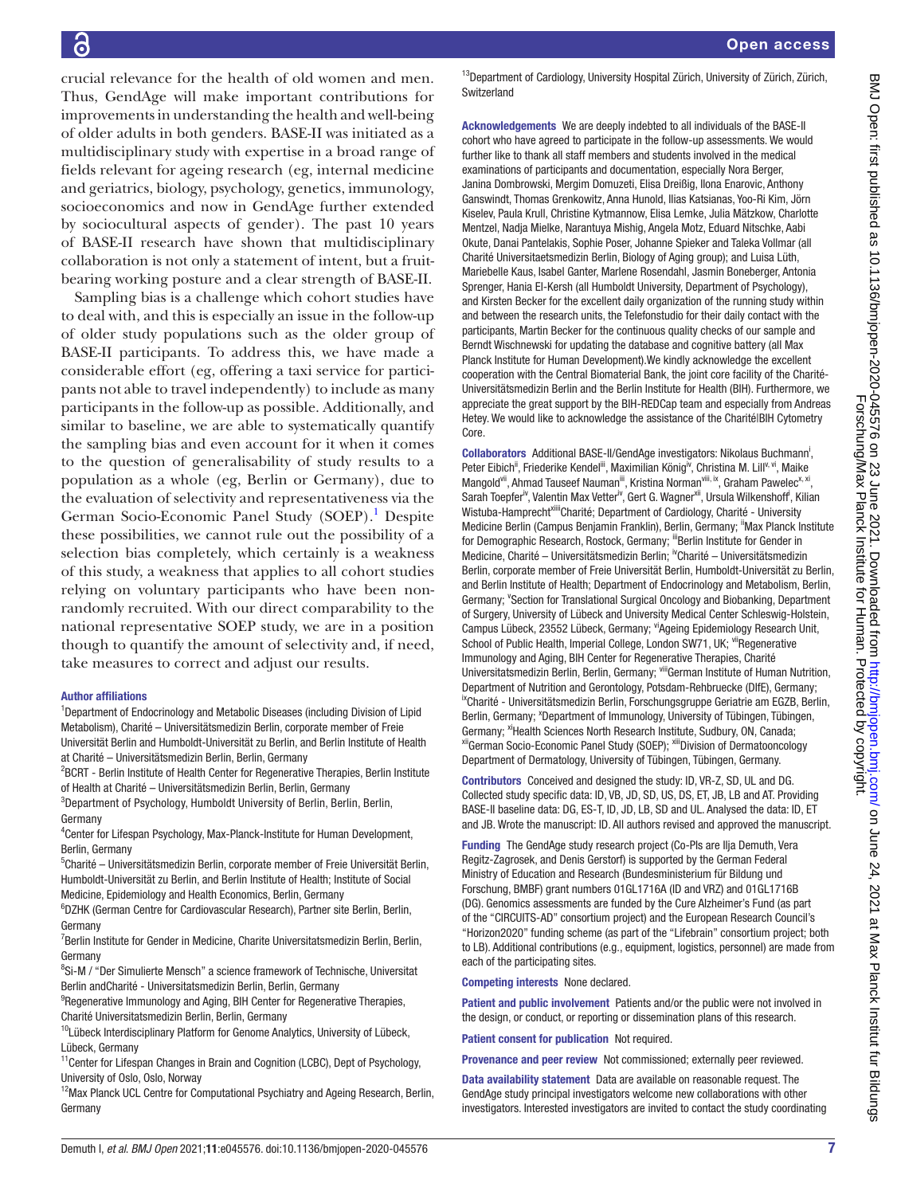crucial relevance for the health of old women and men. Thus, GendAge will make important contributions for improvements in understanding the health and well-being of older adults in both genders. BASE-II was initiated as a multidisciplinary study with expertise in a broad range of fields relevant for ageing research (eg, internal medicine and geriatrics, biology, psychology, genetics, immunology, socioeconomics and now in GendAge further extended by sociocultural aspects of gender). The past 10 years of BASE-II research have shown that multidisciplinary collaboration is not only a statement of intent, but a fruitbearing working posture and a clear strength of BASE-II.

Sampling bias is a challenge which cohort studies have to deal with, and this is especially an issue in the follow-up of older study populations such as the older group of BASE-II participants. To address this, we have made a considerable effort (eg, offering a taxi service for participants not able to travel independently) to include as many participants in the follow-up as possible. Additionally, and similar to baseline, we are able to systematically quantify the sampling bias and even account for it when it comes to the question of generalisability of study results to a population as a whole (eg, Berlin or Germany), due to the evaluation of selectivity and representativeness via the German Socio-Economic Panel Study (SOEP).<sup>1</sup> Despite these possibilities, we cannot rule out the possibility of a selection bias completely, which certainly is a weakness of this study, a weakness that applies to all cohort studies relying on voluntary participants who have been nonrandomly recruited. With our direct comparability to the national representative SOEP study, we are in a position though to quantify the amount of selectivity and, if need, take measures to correct and adjust our results.

#### Author affiliations

<sup>1</sup>Department of Endocrinology and Metabolic Diseases (including Division of Lipid Metabolism), Charité – Universitätsmedizin Berlin, corporate member of Freie Universität Berlin and Humboldt-Universität zu Berlin, and Berlin Institute of Health at Charité – Universitätsmedizin Berlin, Berlin, Germany

<sup>2</sup>BCRT - Berlin Institute of Health Center for Regenerative Therapies, Berlin Institute of Health at Charité – Universitätsmedizin Berlin, Berlin, Germany

<sup>3</sup>Department of Psychology, Humboldt University of Berlin, Berlin, Berlin, Germany

4 Center for Lifespan Psychology, Max-Planck-Institute for Human Development, Berlin, Germany

5 Charité – Universitätsmedizin Berlin, corporate member of Freie Universität Berlin, Humboldt-Universität zu Berlin, and Berlin Institute of Health; Institute of Social Medicine, Epidemiology and Health Economics, Berlin, Germany

<sup>6</sup>DZHK (German Centre for Cardiovascular Research), Partner site Berlin, Berlin, Germany

<sup>7</sup>Berlin Institute for Gender in Medicine, Charite Universitatsmedizin Berlin, Berlin, Germany

<sup>8</sup>Si-M / "Der Simulierte Mensch" a science framework of Technische, Universitat Berlin andCharité - Universitatsmedizin Berlin, Berlin, Germany

<sup>9</sup>Regenerative Immunology and Aging, BIH Center for Regenerative Therapies, Charité Universitatsmedizin Berlin, Berlin, Germany

<sup>10</sup>Lübeck Interdisciplinary Platform for Genome Analytics, University of Lübeck, Lübeck, Germany

<sup>11</sup>Center for Lifespan Changes in Brain and Cognition (LCBC), Dept of Psychology, University of Oslo, Oslo, Norway

<sup>12</sup>Max Planck UCL Centre for Computational Psychiatry and Ageing Research, Berlin, Germany

<sup>13</sup>Department of Cardiology, University Hospital Zürich, University of Zürich, Zürich, **Switzerland** 

Acknowledgements We are deeply indebted to all individuals of the BASE-II cohort who have agreed to participate in the follow-up assessments. We would further like to thank all staff members and students involved in the medical examinations of participants and documentation, especially Nora Berger, Janina Dombrowski, Mergim Domuzeti, Elisa Dreißig, Ilona Enarovic, Anthony Ganswindt, Thomas Grenkowitz, Anna Hunold, Ilias Katsianas, Yoo-Ri Kim, Jörn Kiselev, Paula Krull, Christine Kytmannow, Elisa Lemke, Julia Mätzkow, Charlotte Mentzel, Nadja Mielke, Narantuya Mishig, Angela Motz, Eduard Nitschke, Aabi Okute, Danai Pantelakis, Sophie Poser, Johanne Spieker and Taleka Vollmar (all Charité Universitaetsmedizin Berlin, Biology of Aging group); and Luisa Lüth, Mariebelle Kaus, Isabel Ganter, Marlene Rosendahl, Jasmin Boneberger, Antonia Sprenger, Hania El-Kersh (all Humboldt University, Department of Psychology), and Kirsten Becker for the excellent daily organization of the running study within and between the research units, the Telefonstudio for their daily contact with the participants, Martin Becker for the continuous quality checks of our sample and Berndt Wischnewski for updating the database and cognitive battery (all Max Planck Institute for Human Development).We kindly acknowledge the excellent cooperation with the Central Biomaterial Bank, the joint core facility of the Charité-Universitätsmedizin Berlin and the Berlin Institute for Health (BIH). Furthermore, we appreciate the great support by the BIH-REDCap team and especially from Andreas Hetey. We would like to acknowledge the assistance of the Charité|BIH Cytometry Core.

Collaborators Additional BASE-II/GendAge investigators: Nikolaus Buchmann<sup>i</sup>, Peter Eibich<sup>ii</sup>, Friederike Kendel<sup>iii</sup>, Maximilian König<sup>iv</sup>, Christina M. Lill<sup>v, vi</sup>, Maike Mangold<sup>vii</sup>, Ahmad Tauseef Nauman<sup>iii</sup>, Kristina Norman<sup>viii, ix</sup>, Graham Pawelec<sup>x, xi</sup>, Sarah Toepfer<sup>iv</sup>, Valentin Max Vetter<sup>iv</sup>, Gert G. Wagner<sup>xii</sup>, Ursula Wilkenshoff<sup>i</sup>, Kilian Wistuba-Hamprecht<sup>xiiii</sup>Charité; Department of Cardiology, Charité - University Medicine Berlin (Campus Benjamin Franklin), Berlin, Germany; <sup>ii</sup>Max Planck Institute for Demographic Research, Rostock, Germany; iiBerlin Institute for Gender in Medicine, Charité – Universitätsmedizin Berlin; <sup>iv</sup>Charité – Universitätsmedizin Berlin, corporate member of Freie Universität Berlin, Humboldt-Universität zu Berlin, and Berlin Institute of Health; Department of Endocrinology and Metabolism, Berlin, Germany; "Section for Translational Surgical Oncology and Biobanking, Department of Surgery, University of Lübeck and University Medical Center Schleswig-Holstein, Campus Lübeck, 23552 Lübeck, Germany; <sup>vi</sup>Ageing Epidemiology Research Unit, School of Public Health, Imperial College, London SW71, UK; VIIRegenerative Immunology and Aging, BIH Center for Regenerative Therapies, Charité Universitatsmedizin Berlin, Berlin, Germany; villGerman Institute of Human Nutrition, Department of Nutrition and Gerontology, Potsdam-Rehbruecke (DIfE), Germany;<br><sup>ix</sup>Charité - Universitätsmedizin Berlin, Forschungsgruppe Geriatrie am EGZB, Berlin, Berlin, Germany; <sup>x</sup>Department of Immunology, University of Tübingen, Tübingen, Germany; <sup>xi</sup>Health Sciences North Research Institute, Sudbury, ON, Canada;<br><sup>xii</sup>German Socio-Economic Panel Study (SOEP); <sup>xiii</sup>Division of Dermatooncology Department of Dermatology, University of Tübingen, Tübingen, Germany.

Contributors Conceived and designed the study: ID, VR-Z, SD, UL and DG. Collected study specific data: ID, VB, JD, SD, US, DS, ET, JB, LB and AT. Providing BASE-II baseline data: DG, ES-T, ID, JD, LB, SD and UL. Analysed the data: ID, ET and JB. Wrote the manuscript: ID. All authors revised and approved the manuscript.

Funding The GendAge study research project (Co-PIs are Ilja Demuth, Vera Regitz-Zagrosek, and Denis Gerstorf) is supported by the German Federal Ministry of Education and Research (Bundesministerium für Bildung und Forschung, BMBF) grant numbers 01GL1716A (ID and VRZ) and 01GL1716B (DG). Genomics assessments are funded by the Cure Alzheimer's Fund (as part of the "CIRCUITS-AD" consortium project) and the European Research Council's "Horizon2020" funding scheme (as part of the "Lifebrain" consortium project; both to LB). Additional contributions (e.g., equipment, logistics, personnel) are made from each of the participating sites.

Competing interests None declared.

Patient and public involvement Patients and/or the public were not involved in the design, or conduct, or reporting or dissemination plans of this research.

Patient consent for publication Not required.

Provenance and peer review Not commissioned; externally peer reviewed.

Data availability statement Data are available on reasonable request. The GendAge study principal investigators welcome new collaborations with other investigators. Interested investigators are invited to contact the study coordinating